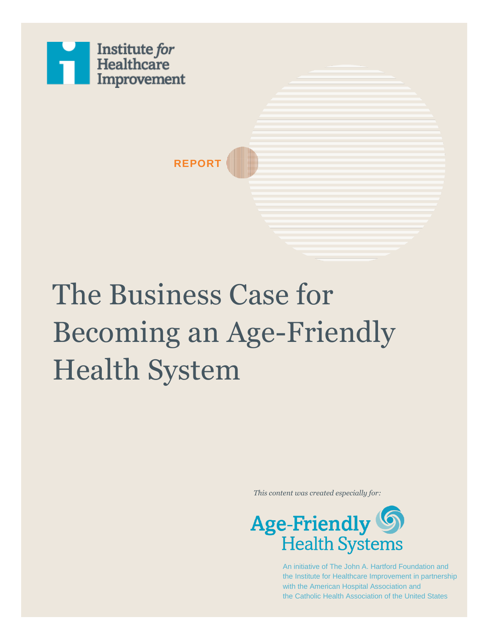

# The Business Case for Becoming an Age-Friendly Health System

**REPORT**

*This content was created especially for:*



An initiative of The John A. Hartford Foundation and the Institute for Healthcare Improvement in partnership with the American Hospital Association and the Catholic Health Association of the United States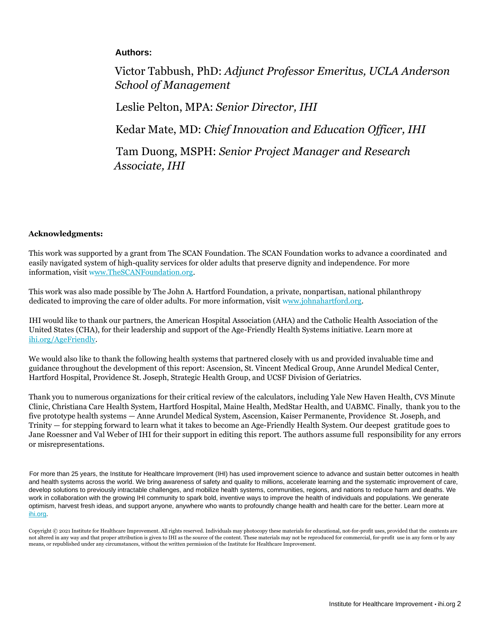# **Authors:**

Victor Tabbush, PhD: *Adjunct Professor Emeritus, UCLA Anderson School of Management* 

Leslie Pelton, MPA: *Senior Director, IHI* 

Kedar Mate, MD: *Chief Innovation and Education Officer, IHI* 

Tam Duong, MSPH: *Senior Project Manager and Research Associate, IHI* 

# **Acknowledgments:**

This work was supported by a grant from The SCAN Foundation. The SCAN Foundation works to advance a coordinated and easily navigated system of high-quality services for older adults that preserve dignity and independence. For more information, visit www.TheSCANFoundation.org.

This work was also made possible by The John A. Hartford Foundation, a private, nonpartisan, national philanthropy dedicated to improving the care of older adults. For more information, visit www.johnahartford.org.

IHI would like to thank our partners, the American Hospital Association (AHA) and the Catholic Health Association of the United States (CHA), for their leadership and support of the Age-Friendly Health Systems initiative. Learn more at ihi.org/AgeFriendly.

We would also like to thank the following health systems that partnered closely with us and provided invaluable time and guidance throughout the development of this report: Ascension, St. Vincent Medical Group, Anne Arundel Medical Center, Hartford Hospital, Providence St. Joseph, Strategic Health Group, and UCSF Division of Geriatrics.

Thank you to numerous organizations for their critical review of the calculators, including Yale New Haven Health, CVS Minute Clinic, Christiana Care Health System, Hartford Hospital, Maine Health, MedStar Health, and UABMC. Finally, thank you to the five prototype health systems — Anne Arundel Medical System, Ascension, Kaiser Permanente, Providence St. Joseph, and Trinity — for stepping forward to learn what it takes to become an Age-Friendly Health System. Our deepest gratitude goes to Jane Roessner and Val Weber of IHI for their support in editing this report. The authors assume full responsibility for any errors or misrepresentations.

For more than 25 years, the Institute for Healthcare Improvement (IHI) has used improvement science to advance and sustain better outcomes in health and health systems across the world. We bring awareness of safety and quality to millions, accelerate learning and the systematic improvement of care, develop solutions to previously intractable challenges, and mobilize health systems, communities, regions, and nations to reduce harm and deaths. We work in collaboration with the growing IHI community to spark bold, inventive ways to improve the health of individuals and populations. We generate optimism, harvest fresh ideas, and support anyone, anywhere who wants to profoundly change health and health care for the better. Learn more at ihi.org.

Copyright © 2021 Institute for Healthcare Improvement. All rights reserved. Individuals may photocopy these materials for educational, not-for-profit uses, provided that the contents are not altered in any way and that proper attribution is given to IHI as the source of the content. These materials may not be reproduced for commercial, for-profit use in any form or by any means, or republished under any circumstances, without the written permission of the Institute for Healthcare Improvement.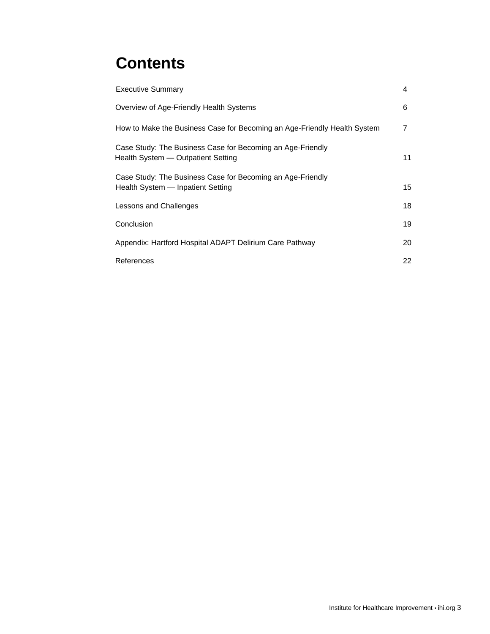# **Contents**

| <b>Executive Summary</b>                                                                         | 4  |
|--------------------------------------------------------------------------------------------------|----|
| Overview of Age-Friendly Health Systems                                                          | 6  |
| How to Make the Business Case for Becoming an Age-Friendly Health System                         | 7  |
| Case Study: The Business Case for Becoming an Age-Friendly<br>Health System — Outpatient Setting | 11 |
| Case Study: The Business Case for Becoming an Age-Friendly<br>Health System — Inpatient Setting  | 15 |
| Lessons and Challenges                                                                           | 18 |
| Conclusion                                                                                       | 19 |
| Appendix: Hartford Hospital ADAPT Delirium Care Pathway                                          | 20 |
| References                                                                                       | 22 |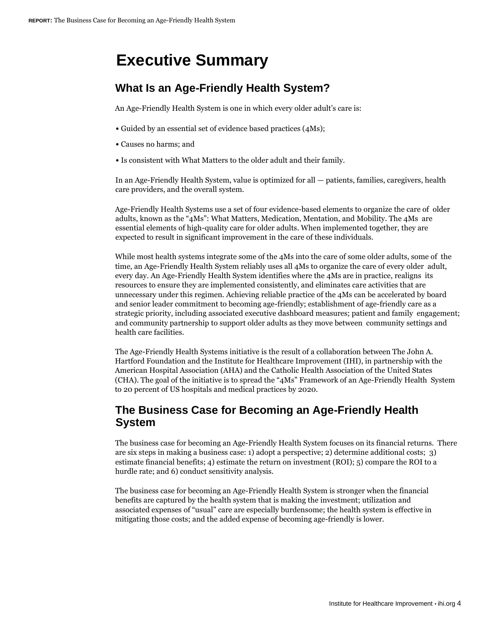# **Executive Summary**

# **What Is an Age-Friendly Health System?**

An Age-Friendly Health System is one in which every older adult's care is:

- Guided by an essential set of evidence based practices (4Ms);
- Causes no harms; and
- Is consistent with What Matters to the older adult and their family.

In an Age-Friendly Health System, value is optimized for all — patients, families, caregivers, health care providers, and the overall system.

Age-Friendly Health Systems use a set of four evidence-based elements to organize the care of older adults, known as the "4Ms": What Matters, Medication, Mentation, and Mobility. The 4Ms are essential elements of high-quality care for older adults. When implemented together, they are expected to result in significant improvement in the care of these individuals.

While most health systems integrate some of the 4Ms into the care of some older adults, some of the time, an Age-Friendly Health System reliably uses all 4Ms to organize the care of every older adult, every day. An Age-Friendly Health System identifies where the 4Ms are in practice, realigns its resources to ensure they are implemented consistently, and eliminates care activities that are unnecessary under this regimen. Achieving reliable practice of the 4Ms can be accelerated by board and senior leader commitment to becoming age-friendly; establishment of age-friendly care as a strategic priority, including associated executive dashboard measures; patient and family engagement; and community partnership to support older adults as they move between community settings and health care facilities.

The Age-Friendly Health Systems initiative is the result of a collaboration between The John A. Hartford Foundation and the Institute for Healthcare Improvement (IHI), in partnership with the American Hospital Association (AHA) and the Catholic Health Association of the United States (CHA). The goal of the initiative is to spread the "4Ms" Framework of an Age-Friendly Health System to 20 percent of US hospitals and medical practices by 2020.

# **The Business Case for Becoming an Age-Friendly Health System**

The business case for becoming an Age-Friendly Health System focuses on its financial returns. There are six steps in making a business case: 1) adopt a perspective; 2) determine additional costs; 3) estimate financial benefits; 4) estimate the return on investment (ROI); 5) compare the ROI to a hurdle rate; and 6) conduct sensitivity analysis.

The business case for becoming an Age-Friendly Health System is stronger when the financial benefits are captured by the health system that is making the investment; utilization and associated expenses of "usual" care are especially burdensome; the health system is effective in mitigating those costs; and the added expense of becoming age-friendly is lower.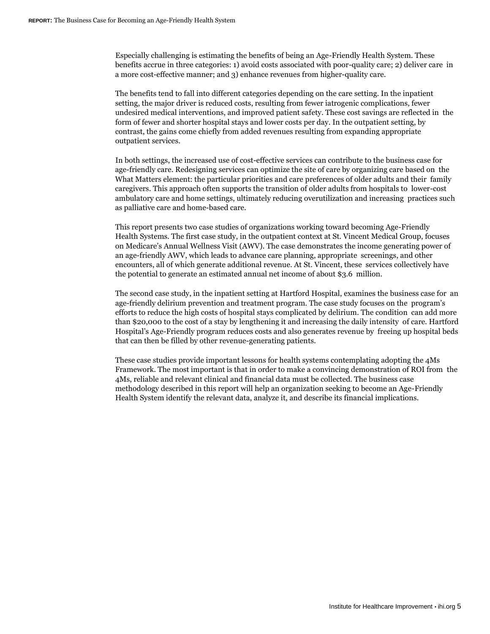Especially challenging is estimating the benefits of being an Age-Friendly Health System. These benefits accrue in three categories: 1) avoid costs associated with poor-quality care; 2) deliver care in a more cost-effective manner; and 3) enhance revenues from higher-quality care.

The benefits tend to fall into different categories depending on the care setting. In the inpatient setting, the major driver is reduced costs, resulting from fewer iatrogenic complications, fewer undesired medical interventions, and improved patient safety. These cost savings are reflected in the form of fewer and shorter hospital stays and lower costs per day. In the outpatient setting, by contrast, the gains come chiefly from added revenues resulting from expanding appropriate outpatient services.

In both settings, the increased use of cost-effective services can contribute to the business case for age-friendly care. Redesigning services can optimize the site of care by organizing care based on the What Matters element: the particular priorities and care preferences of older adults and their family caregivers. This approach often supports the transition of older adults from hospitals to lower-cost ambulatory care and home settings, ultimately reducing overutilization and increasing practices such as palliative care and home-based care.

This report presents two case studies of organizations working toward becoming Age-Friendly Health Systems. The first case study, in the outpatient context at St. Vincent Medical Group, focuses on Medicare's Annual Wellness Visit (AWV). The case demonstrates the income generating power of an age-friendly AWV, which leads to advance care planning, appropriate screenings, and other encounters, all of which generate additional revenue. At St. Vincent, these services collectively have the potential to generate an estimated annual net income of about \$3.6 million.

The second case study, in the inpatient setting at Hartford Hospital, examines the business case for an age-friendly delirium prevention and treatment program. The case study focuses on the program's efforts to reduce the high costs of hospital stays complicated by delirium. The condition can add more than \$20,000 to the cost of a stay by lengthening it and increasing the daily intensity of care. Hartford Hospital's Age-Friendly program reduces costs and also generates revenue by freeing up hospital beds that can then be filled by other revenue-generating patients.

These case studies provide important lessons for health systems contemplating adopting the 4Ms Framework. The most important is that in order to make a convincing demonstration of ROI from the 4Ms, reliable and relevant clinical and financial data must be collected. The business case methodology described in this report will help an organization seeking to become an Age-Friendly Health System identify the relevant data, analyze it, and describe its financial implications.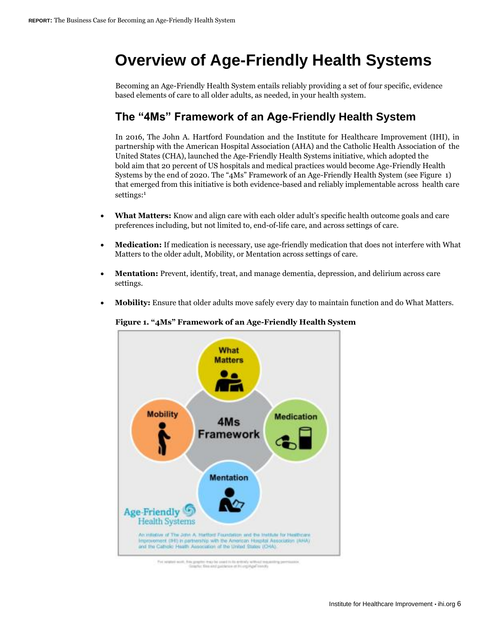# **Overview of Age-Friendly Health Systems**

Becoming an Age-Friendly Health System entails reliably providing a set of four specific, evidence based elements of care to all older adults, as needed, in your health system.

# **The "4Ms" Framework of an Age-Friendly Health System**

In 2016, The John A. Hartford Foundation and the Institute for Healthcare Improvement (IHI), in partnership with the American Hospital Association (AHA) and the Catholic Health Association of the United States (CHA), launched the Age-Friendly Health Systems initiative, which adopted the bold aim that 20 percent of US hospitals and medical practices would become Age-Friendly Health Systems by the end of 2020. The "4Ms" Framework of an Age-Friendly Health System (see Figure 1) that emerged from this initiative is both evidence-based and reliably implementable across health care settings:<sup>1</sup>

- **What Matters:** Know and align care with each older adult's specific health outcome goals and care preferences including, but not limited to, end-of-life care, and across settings of care.
- **Medication:** If medication is necessary, use age-friendly medication that does not interfere with What Matters to the older adult, Mobility, or Mentation across settings of care.
- **Mentation:** Prevent, identify, treat, and manage dementia, depression, and delirium across care settings.
- **Mobility:** Ensure that older adults move safely every day to maintain function and do What Matters.



**Figure 1. "4Ms" Framework of an Age-Friendly Health System**

For pergest work, fine gregory was he search in to entropy without rests ra in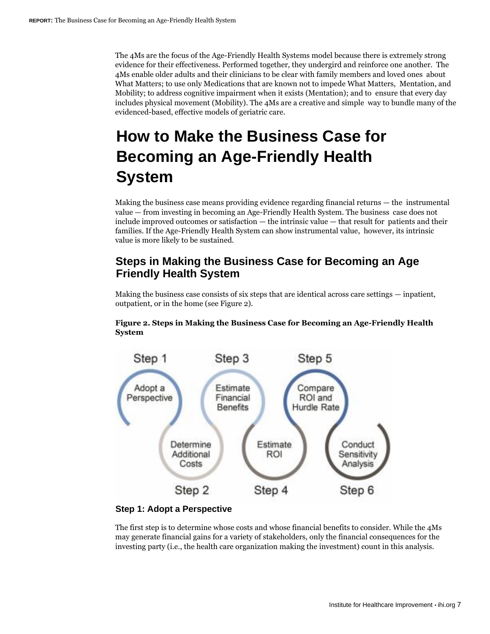The 4Ms are the focus of the Age-Friendly Health Systems model because there is extremely strong evidence for their effectiveness. Performed together, they undergird and reinforce one another. The 4Ms enable older adults and their clinicians to be clear with family members and loved ones about What Matters; to use only Medications that are known not to impede What Matters, Mentation, and Mobility; to address cognitive impairment when it exists (Mentation); and to ensure that every day includes physical movement (Mobility). The 4Ms are a creative and simple way to bundle many of the evidenced-based, effective models of geriatric care.

# **How to Make the Business Case for Becoming an Age-Friendly Health System**

Making the business case means providing evidence regarding financial returns — the instrumental value — from investing in becoming an Age-Friendly Health System. The business case does not include improved outcomes or satisfaction — the intrinsic value — that result for patients and their families. If the Age-Friendly Health System can show instrumental value, however, its intrinsic value is more likely to be sustained.

# **Steps in Making the Business Case for Becoming an Age Friendly Health System**

Making the business case consists of six steps that are identical across care settings — inpatient, outpatient, or in the home (see Figure 2).



**Figure 2. Steps in Making the Business Case for Becoming an Age-Friendly Health System** 

**Step 1: Adopt a Perspective** 

The first step is to determine whose costs and whose financial benefits to consider. While the 4Ms may generate financial gains for a variety of stakeholders, only the financial consequences for the investing party (i.e., the health care organization making the investment) count in this analysis.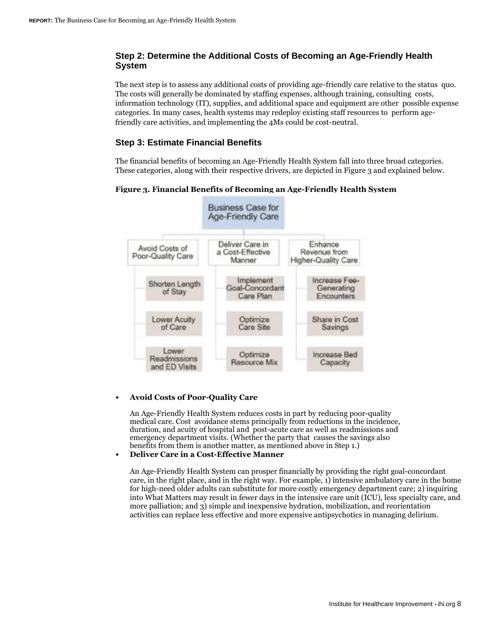# **Step 2: Determine the Additional Costs of Becoming an Age-Friendly Health System**

The next step is to assess any additional costs of providing age-friendly care relative to the status quo. The costs will generally be dominated by staffing expenses, although training, consulting costs, information technology (IT), supplies, and additional space and equipment are other possible expense categories. In many cases, health systems may redeploy existing staff resources to perform agefriendly care activities, and implementing the 4Ms could be cost-neutral.

### **Step 3: Estimate Financial Benefits**

The financial benefits of becoming an Age-Friendly Health System fall into three broad categories. These categories, along with their respective drivers, are depicted in Figure 3 and explained below.

**Figure 3. Financial Benefits of Becoming an Age-Friendly Health System** 



#### • **Avoid Costs of Poor-Quality Care**

An Age-Friendly Health System reduces costs in part by reducing poor-quality medical care. Cost avoidance stems principally from reductions in the incidence, duration, and acuity of hospital and post-acute care as well as readmissions and emergency department visits. (Whether the party that causes the savings also benefits from them is another matter, as mentioned above in Step 1.)

#### • **Deliver Care in a Cost-Effective Manner**

An Age-Friendly Health System can prosper financially by providing the right goal-concordant care, in the right place, and in the right way. For example, 1) intensive ambulatory care in the home for high-need older adults can substitute for more costly emergency department care; 2) inquiring into What Matters may result in fewer days in the intensive care unit (ICU), less specialty care, and more palliation; and 3) simple and inexpensive hydration, mobilization, and reorientation activities can replace less effective and more expensive antipsychotics in managing delirium.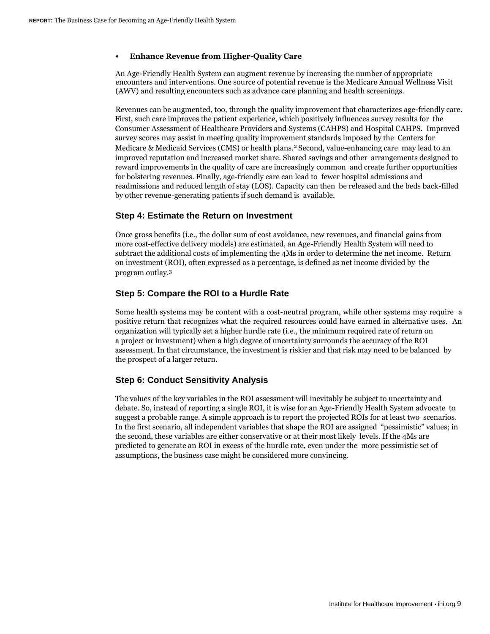#### • **Enhance Revenue from Higher-Quality Care**

An Age-Friendly Health System can augment revenue by increasing the number of appropriate encounters and interventions. One source of potential revenue is the Medicare Annual Wellness Visit (AWV) and resulting encounters such as advance care planning and health screenings.

Revenues can be augmented, too, through the quality improvement that characterizes age-friendly care. First, such care improves the patient experience, which positively influences survey results for the Consumer Assessment of Healthcare Providers and Systems (CAHPS) and Hospital CAHPS. Improved survey scores may assist in meeting quality improvement standards imposed by the Centers for Medicare & Medicaid Services (CMS) or health plans.2 Second, value-enhancing care may lead to an improved reputation and increased market share. Shared savings and other arrangements designed to reward improvements in the quality of care are increasingly common and create further opportunities for bolstering revenues. Finally, age-friendly care can lead to fewer hospital admissions and readmissions and reduced length of stay (LOS). Capacity can then be released and the beds back-filled by other revenue-generating patients if such demand is available.

### **Step 4: Estimate the Return on Investment**

Once gross benefits (i.e., the dollar sum of cost avoidance, new revenues, and financial gains from more cost-effective delivery models) are estimated, an Age-Friendly Health System will need to subtract the additional costs of implementing the 4Ms in order to determine the net income. Return on investment (ROI), often expressed as a percentage, is defined as net income divided by the program outlay.<sup>3</sup>

# **Step 5: Compare the ROI to a Hurdle Rate**

Some health systems may be content with a cost-neutral program, while other systems may require a positive return that recognizes what the required resources could have earned in alternative uses. An organization will typically set a higher hurdle rate (i.e., the minimum required rate of return on a project or investment) when a high degree of uncertainty surrounds the accuracy of the ROI assessment. In that circumstance, the investment is riskier and that risk may need to be balanced by the prospect of a larger return.

# **Step 6: Conduct Sensitivity Analysis**

The values of the key variables in the ROI assessment will inevitably be subject to uncertainty and debate. So, instead of reporting a single ROI, it is wise for an Age-Friendly Health System advocate to suggest a probable range. A simple approach is to report the projected ROIs for at least two scenarios. In the first scenario, all independent variables that shape the ROI are assigned "pessimistic" values; in the second, these variables are either conservative or at their most likely levels. If the 4Ms are predicted to generate an ROI in excess of the hurdle rate, even under the more pessimistic set of assumptions, the business case might be considered more convincing.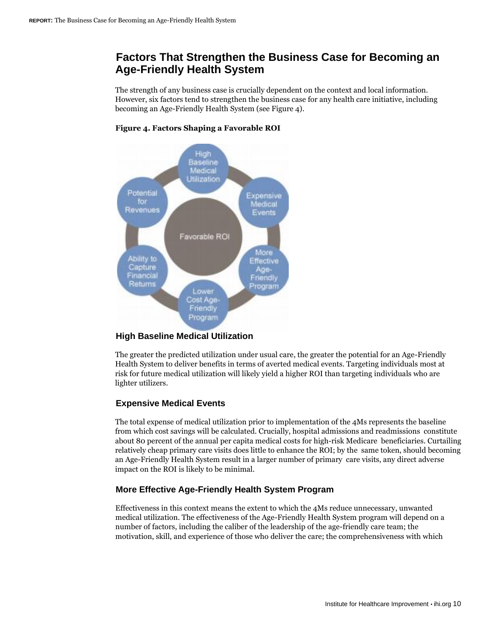# **Factors That Strengthen the Business Case for Becoming an Age-Friendly Health System**

The strength of any business case is crucially dependent on the context and local information. However, six factors tend to strengthen the business case for any health care initiative, including becoming an Age-Friendly Health System (see Figure 4).



### **Figure 4. Factors Shaping a Favorable ROI**

# **High Baseline Medical Utilization**

The greater the predicted utilization under usual care, the greater the potential for an Age-Friendly Health System to deliver benefits in terms of averted medical events. Targeting individuals most at risk for future medical utilization will likely yield a higher ROI than targeting individuals who are lighter utilizers.

# **Expensive Medical Events**

The total expense of medical utilization prior to implementation of the 4Ms represents the baseline from which cost savings will be calculated. Crucially, hospital admissions and readmissions constitute about 80 percent of the annual per capita medical costs for high-risk Medicare beneficiaries. Curtailing relatively cheap primary care visits does little to enhance the ROI; by the same token, should becoming an Age-Friendly Health System result in a larger number of primary care visits, any direct adverse impact on the ROI is likely to be minimal.

# **More Effective Age-Friendly Health System Program**

Effectiveness in this context means the extent to which the 4Ms reduce unnecessary, unwanted medical utilization. The effectiveness of the Age-Friendly Health System program will depend on a number of factors, including the caliber of the leadership of the age-friendly care team; the motivation, skill, and experience of those who deliver the care; the comprehensiveness with which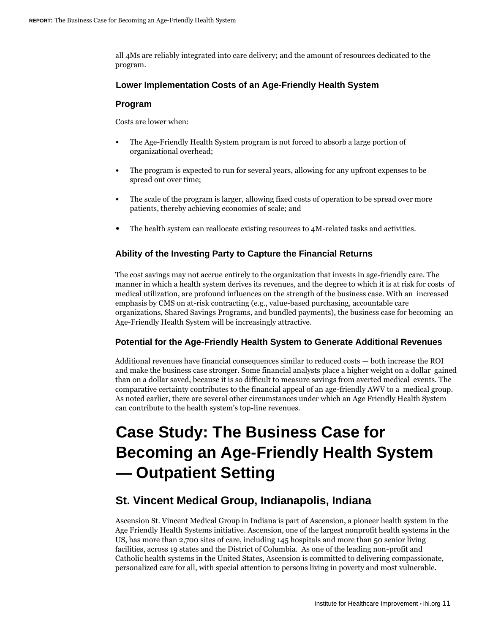all 4Ms are reliably integrated into care delivery; and the amount of resources dedicated to the program.

# **Lower Implementation Costs of an Age-Friendly Health System**

#### **Program**

Costs are lower when:

- The Age-Friendly Health System program is not forced to absorb a large portion of organizational overhead;
- The program is expected to run for several years, allowing for any upfront expenses to be spread out over time;
- The scale of the program is larger, allowing fixed costs of operation to be spread over more patients, thereby achieving economies of scale; and
- The health system can reallocate existing resources to 4M-related tasks and activities.

# **Ability of the Investing Party to Capture the Financial Returns**

The cost savings may not accrue entirely to the organization that invests in age-friendly care. The manner in which a health system derives its revenues, and the degree to which it is at risk for costs of medical utilization, are profound influences on the strength of the business case. With an increased emphasis by CMS on at-risk contracting (e.g., value-based purchasing, accountable care organizations, Shared Savings Programs, and bundled payments), the business case for becoming an Age-Friendly Health System will be increasingly attractive.

### **Potential for the Age-Friendly Health System to Generate Additional Revenues**

Additional revenues have financial consequences similar to reduced costs — both increase the ROI and make the business case stronger. Some financial analysts place a higher weight on a dollar gained than on a dollar saved, because it is so difficult to measure savings from averted medical events. The comparative certainty contributes to the financial appeal of an age-friendly AWV to a medical group. As noted earlier, there are several other circumstances under which an Age Friendly Health System can contribute to the health system's top-line revenues.

# **Case Study: The Business Case for Becoming an Age-Friendly Health System — Outpatient Setting**

# **St. Vincent Medical Group, Indianapolis, Indiana**

Ascension St. Vincent Medical Group in Indiana is part of Ascension, a pioneer health system in the Age Friendly Health Systems initiative. Ascension, one of the largest nonprofit health systems in the US, has more than 2,700 sites of care, including 145 hospitals and more than 50 senior living facilities, across 19 states and the District of Columbia. As one of the leading non-profit and Catholic health systems in the United States, Ascension is committed to delivering compassionate, personalized care for all, with special attention to persons living in poverty and most vulnerable.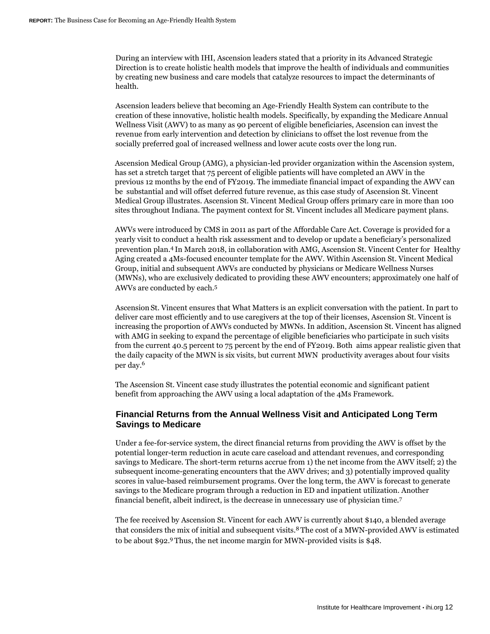During an interview with IHI, Ascension leaders stated that a priority in its Advanced Strategic Direction is to create holistic health models that improve the health of individuals and communities by creating new business and care models that catalyze resources to impact the determinants of health.

Ascension leaders believe that becoming an Age-Friendly Health System can contribute to the creation of these innovative, holistic health models. Specifically, by expanding the Medicare Annual Wellness Visit (AWV) to as many as 90 percent of eligible beneficiaries, Ascension can invest the revenue from early intervention and detection by clinicians to offset the lost revenue from the socially preferred goal of increased wellness and lower acute costs over the long run.

Ascension Medical Group (AMG), a physician-led provider organization within the Ascension system, has set a stretch target that 75 percent of eligible patients will have completed an AWV in the previous 12 months by the end of FY2019. The immediate financial impact of expanding the AWV can be substantial and will offset deferred future revenue, as this case study of Ascension St. Vincent Medical Group illustrates. Ascension St. Vincent Medical Group offers primary care in more than 100 sites throughout Indiana. The payment context for St. Vincent includes all Medicare payment plans.

AWVs were introduced by CMS in 2011 as part of the Affordable Care Act. Coverage is provided for a yearly visit to conduct a health risk assessment and to develop or update a beneficiary's personalized prevention plan.4 In March 2018, in collaboration with AMG, Ascension St. Vincent Center for Healthy Aging created a 4Ms-focused encounter template for the AWV. Within Ascension St. Vincent Medical Group, initial and subsequent AWVs are conducted by physicians or Medicare Wellness Nurses (MWNs), who are exclusively dedicated to providing these AWV encounters; approximately one half of AWVs are conducted by each.<sup>5</sup>

Ascension St. Vincent ensures that What Matters is an explicit conversation with the patient. In part to deliver care most efficiently and to use caregivers at the top of their licenses, Ascension St. Vincent is increasing the proportion of AWVs conducted by MWNs. In addition, Ascension St. Vincent has aligned with AMG in seeking to expand the percentage of eligible beneficiaries who participate in such visits from the current 40.5 percent to 75 percent by the end of FY2019. Both aims appear realistic given that the daily capacity of the MWN is six visits, but current MWN productivity averages about four visits per day.<sup>6</sup>

The Ascension St. Vincent case study illustrates the potential economic and significant patient benefit from approaching the AWV using a local adaptation of the 4Ms Framework.

# **Financial Returns from the Annual Wellness Visit and Anticipated Long Term Savings to Medicare**

Under a fee-for-service system, the direct financial returns from providing the AWV is offset by the potential longer-term reduction in acute care caseload and attendant revenues, and corresponding savings to Medicare. The short-term returns accrue from 1) the net income from the AWV itself; 2) the subsequent income-generating encounters that the AWV drives; and 3) potentially improved quality scores in value-based reimbursement programs. Over the long term, the AWV is forecast to generate savings to the Medicare program through a reduction in ED and inpatient utilization. Another financial benefit, albeit indirect, is the decrease in unnecessary use of physician time.<sup>7</sup>

The fee received by Ascension St. Vincent for each AWV is currently about \$140, a blended average that considers the mix of initial and subsequent visits.<sup>8</sup> The cost of a MWN-provided AWV is estimated to be about \$92.9 Thus, the net income margin for MWN-provided visits is \$48.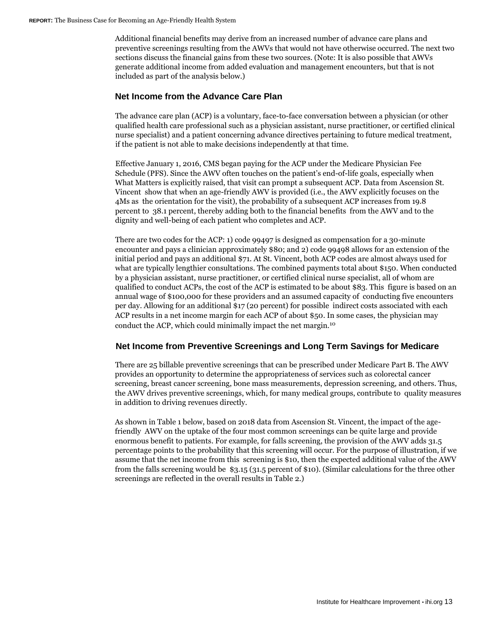Additional financial benefits may derive from an increased number of advance care plans and preventive screenings resulting from the AWVs that would not have otherwise occurred. The next two sections discuss the financial gains from these two sources. (Note: It is also possible that AWVs generate additional income from added evaluation and management encounters, but that is not included as part of the analysis below.)

## **Net Income from the Advance Care Plan**

The advance care plan (ACP) is a voluntary, face-to-face conversation between a physician (or other qualified health care professional such as a physician assistant, nurse practitioner, or certified clinical nurse specialist) and a patient concerning advance directives pertaining to future medical treatment, if the patient is not able to make decisions independently at that time.

Effective January 1, 2016, CMS began paying for the ACP under the Medicare Physician Fee Schedule (PFS). Since the AWV often touches on the patient's end-of-life goals, especially when What Matters is explicitly raised, that visit can prompt a subsequent ACP. Data from Ascension St. Vincent show that when an age-friendly AWV is provided (i.e., the AWV explicitly focuses on the 4Ms as the orientation for the visit), the probability of a subsequent ACP increases from 19.8 percent to 38.1 percent, thereby adding both to the financial benefits from the AWV and to the dignity and well-being of each patient who completes and ACP.

There are two codes for the ACP: 1) code 99497 is designed as compensation for a 30-minute encounter and pays a clinician approximately \$80; and 2) code 99498 allows for an extension of the initial period and pays an additional \$71. At St. Vincent, both ACP codes are almost always used for what are typically lengthier consultations. The combined payments total about \$150. When conducted by a physician assistant, nurse practitioner, or certified clinical nurse specialist, all of whom are qualified to conduct ACPs, the cost of the ACP is estimated to be about \$83. This figure is based on an annual wage of \$100,000 for these providers and an assumed capacity of conducting five encounters per day. Allowing for an additional \$17 (20 percent) for possible indirect costs associated with each ACP results in a net income margin for each ACP of about \$50. In some cases, the physician may conduct the ACP, which could minimally impact the net margin.<sup>10</sup>

### **Net Income from Preventive Screenings and Long Term Savings for Medicare**

There are 25 billable preventive screenings that can be prescribed under Medicare Part B. The AWV provides an opportunity to determine the appropriateness of services such as colorectal cancer screening, breast cancer screening, bone mass measurements, depression screening, and others. Thus, the AWV drives preventive screenings, which, for many medical groups, contribute to quality measures in addition to driving revenues directly.

As shown in Table 1 below, based on 2018 data from Ascension St. Vincent, the impact of the agefriendly AWV on the uptake of the four most common screenings can be quite large and provide enormous benefit to patients. For example, for falls screening, the provision of the AWV adds 31.5 percentage points to the probability that this screening will occur. For the purpose of illustration, if we assume that the net income from this screening is \$10, then the expected additional value of the AWV from the falls screening would be \$3.15 (31.5 percent of \$10). (Similar calculations for the three other screenings are reflected in the overall results in Table 2.)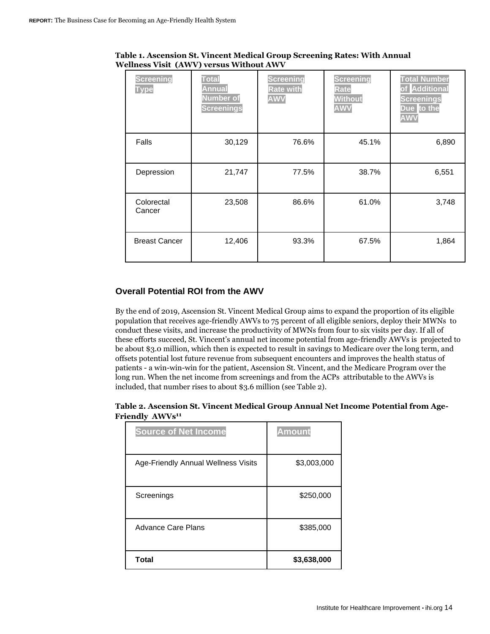| <b>Screening</b><br><b>Type</b> | <b>Total</b><br><b>Annual</b><br><b>Number of</b><br><b>Screenings</b> | <b>Screening</b><br><b>Rate with</b><br><b>AWV</b> | <b>Screening</b><br><b>Rate</b><br><b>Without</b><br><b>AWV</b> | <b>Total Number</b><br><b>Additional</b><br><b>Screenings</b><br>Due to the<br><b>AWV</b> |
|---------------------------------|------------------------------------------------------------------------|----------------------------------------------------|-----------------------------------------------------------------|-------------------------------------------------------------------------------------------|
| Falls                           | 30,129                                                                 | 76.6%                                              | 45.1%                                                           | 6,890                                                                                     |
| Depression                      | 21,747                                                                 | 77.5%                                              | 38.7%                                                           | 6,551                                                                                     |
| Colorectal<br>Cancer            | 23,508                                                                 | 86.6%                                              | 61.0%                                                           | 3,748                                                                                     |
| <b>Breast Cancer</b>            | 12,406                                                                 | 93.3%                                              | 67.5%                                                           | 1,864                                                                                     |

**Table 1. Ascension St. Vincent Medical Group Screening Rates: With Annual Wellness Visit (AWV) versus Without AWV** 

# **Overall Potential ROI from the AWV**

By the end of 2019, Ascension St. Vincent Medical Group aims to expand the proportion of its eligible population that receives age-friendly AWVs to 75 percent of all eligible seniors, deploy their MWNs to conduct these visits, and increase the productivity of MWNs from four to six visits per day. If all of these efforts succeed, St. Vincent's annual net income potential from age-friendly AWVs is projected to be about \$3.0 million, which then is expected to result in savings to Medicare over the long term, and offsets potential lost future revenue from subsequent encounters and improves the health status of patients - a win-win-win for the patient, Ascension St. Vincent, and the Medicare Program over the long run. When the net income from screenings and from the ACPs attributable to the AWVs is included, that number rises to about \$3.6 million (see Table 2).

| Table 2. Ascension St. Vincent Medical Group Annual Net Income Potential from Age- |  |
|------------------------------------------------------------------------------------|--|
| Friendly AWVs <sup>11</sup>                                                        |  |

| <b>Source of Net Income</b>         | <b>Amount</b> |
|-------------------------------------|---------------|
| Age-Friendly Annual Wellness Visits | \$3,003,000   |
| Screenings                          | \$250,000     |
| Advance Care Plans                  | \$385,000     |
| <b>Total</b>                        | \$3,638,000   |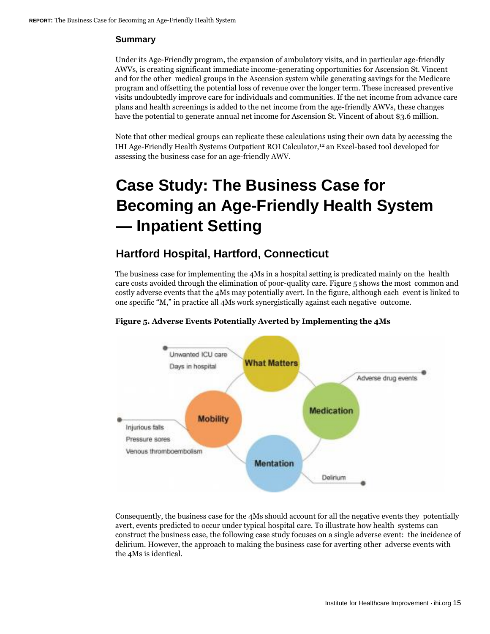#### **Summary**

Under its Age-Friendly program, the expansion of ambulatory visits, and in particular age-friendly AWVs, is creating significant immediate income-generating opportunities for Ascension St. Vincent and for the other medical groups in the Ascension system while generating savings for the Medicare program and offsetting the potential loss of revenue over the longer term. These increased preventive visits undoubtedly improve care for individuals and communities. If the net income from advance care plans and health screenings is added to the net income from the age-friendly AWVs, these changes have the potential to generate annual net income for Ascension St. Vincent of about \$3.6 million.

Note that other medical groups can replicate these calculations using their own data by accessing the IHI Age-Friendly Health Systems Outpatient ROI Calculator,12 an Excel-based tool developed for assessing the business case for an age-friendly AWV.

# **Case Study: The Business Case for Becoming an Age-Friendly Health System — Inpatient Setting**

# **Hartford Hospital, Hartford, Connecticut**

The business case for implementing the 4Ms in a hospital setting is predicated mainly on the health care costs avoided through the elimination of poor-quality care. Figure 5 shows the most common and costly adverse events that the 4Ms may potentially avert. In the figure, although each event is linked to one specific "M," in practice all 4Ms work synergistically against each negative outcome.



#### **Figure 5. Adverse Events Potentially Averted by Implementing the 4Ms**

Consequently, the business case for the 4Ms should account for all the negative events they potentially avert, events predicted to occur under typical hospital care. To illustrate how health systems can construct the business case, the following case study focuses on a single adverse event: the incidence of delirium. However, the approach to making the business case for averting other adverse events with the 4Ms is identical.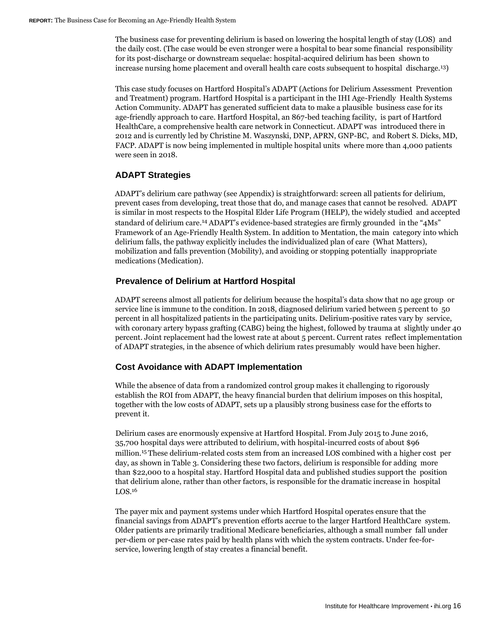The business case for preventing delirium is based on lowering the hospital length of stay (LOS) and the daily cost. (The case would be even stronger were a hospital to bear some financial responsibility for its post-discharge or downstream sequelae: hospital-acquired delirium has been shown to increase nursing home placement and overall health care costs subsequent to hospital discharge.13)

This case study focuses on Hartford Hospital's ADAPT (Actions for Delirium Assessment Prevention and Treatment) program. Hartford Hospital is a participant in the IHI Age-Friendly Health Systems Action Community. ADAPT has generated sufficient data to make a plausible business case for its age-friendly approach to care. Hartford Hospital, an 867-bed teaching facility, is part of Hartford HealthCare, a comprehensive health care network in Connecticut. ADAPT was introduced there in 2012 and is currently led by Christine M. Waszynski, DNP, APRN, GNP-BC, and Robert S. Dicks, MD, FACP. ADAPT is now being implemented in multiple hospital units where more than 4,000 patients were seen in 2018.

### **ADAPT Strategies**

ADAPT's delirium care pathway (see Appendix) is straightforward: screen all patients for delirium, prevent cases from developing, treat those that do, and manage cases that cannot be resolved. ADAPT is similar in most respects to the Hospital Elder Life Program (HELP), the widely studied and accepted standard of delirium care.14 ADAPT's evidence-based strategies are firmly grounded in the "4Ms" Framework of an Age-Friendly Health System. In addition to Mentation, the main category into which delirium falls, the pathway explicitly includes the individualized plan of care (What Matters), mobilization and falls prevention (Mobility), and avoiding or stopping potentially inappropriate medications (Medication).

# **Prevalence of Delirium at Hartford Hospital**

ADAPT screens almost all patients for delirium because the hospital's data show that no age group or service line is immune to the condition. In 2018, diagnosed delirium varied between 5 percent to 50 percent in all hospitalized patients in the participating units. Delirium-positive rates vary by service, with coronary artery bypass grafting (CABG) being the highest, followed by trauma at slightly under 40 percent. Joint replacement had the lowest rate at about 5 percent. Current rates reflect implementation of ADAPT strategies, in the absence of which delirium rates presumably would have been higher.

### **Cost Avoidance with ADAPT Implementation**

While the absence of data from a randomized control group makes it challenging to rigorously establish the ROI from ADAPT, the heavy financial burden that delirium imposes on this hospital, together with the low costs of ADAPT, sets up a plausibly strong business case for the efforts to prevent it.

Delirium cases are enormously expensive at Hartford Hospital. From July 2015 to June 2016, 35,700 hospital days were attributed to delirium, with hospital-incurred costs of about \$96 million.15 These delirium-related costs stem from an increased LOS combined with a higher cost per day, as shown in Table 3. Considering these two factors, delirium is responsible for adding more than \$22,000 to a hospital stay. Hartford Hospital data and published studies support the position that delirium alone, rather than other factors, is responsible for the dramatic increase in hospital LOS.<sup>16</sup>

The payer mix and payment systems under which Hartford Hospital operates ensure that the financial savings from ADAPT's prevention efforts accrue to the larger Hartford HealthCare system. Older patients are primarily traditional Medicare beneficiaries, although a small number fall under per-diem or per-case rates paid by health plans with which the system contracts. Under fee-forservice, lowering length of stay creates a financial benefit.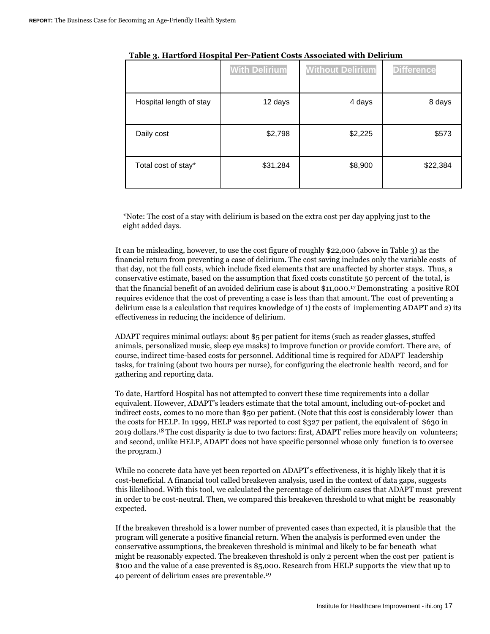|                         | <b>With Delirium</b> | <b>Without Delirium</b> | <b>Difference</b> |
|-------------------------|----------------------|-------------------------|-------------------|
| Hospital length of stay | 12 days              | 4 days                  | 8 days            |
| Daily cost              | \$2,798              | \$2,225                 | \$573             |
| Total cost of stay*     | \$31,284             | \$8,900                 | \$22,384          |

### **Table 3. Hartford Hospital Per-Patient Costs Associated with Delirium**

\*Note: The cost of a stay with delirium is based on the extra cost per day applying just to the eight added days.

It can be misleading, however, to use the cost figure of roughly \$22,000 (above in Table 3) as the financial return from preventing a case of delirium. The cost saving includes only the variable costs of that day, not the full costs, which include fixed elements that are unaffected by shorter stays. Thus, a conservative estimate, based on the assumption that fixed costs constitute 50 percent of the total, is that the financial benefit of an avoided delirium case is about \$11,000.17 Demonstrating a positive ROI requires evidence that the cost of preventing a case is less than that amount. The cost of preventing a delirium case is a calculation that requires knowledge of 1) the costs of implementing ADAPT and 2) its effectiveness in reducing the incidence of delirium.

ADAPT requires minimal outlays: about \$5 per patient for items (such as reader glasses, stuffed animals, personalized music, sleep eye masks) to improve function or provide comfort. There are, of course, indirect time-based costs for personnel. Additional time is required for ADAPT leadership tasks, for training (about two hours per nurse), for configuring the electronic health record, and for gathering and reporting data.

To date, Hartford Hospital has not attempted to convert these time requirements into a dollar equivalent. However, ADAPT's leaders estimate that the total amount, including out-of-pocket and indirect costs, comes to no more than \$50 per patient. (Note that this cost is considerably lower than the costs for HELP. In 1999, HELP was reported to cost \$327 per patient, the equivalent of \$630 in 2019 dollars.18 The cost disparity is due to two factors: first, ADAPT relies more heavily on volunteers; and second, unlike HELP, ADAPT does not have specific personnel whose only function is to oversee the program.)

While no concrete data have yet been reported on ADAPT's effectiveness, it is highly likely that it is cost-beneficial. A financial tool called breakeven analysis, used in the context of data gaps, suggests this likelihood. With this tool, we calculated the percentage of delirium cases that ADAPT must prevent in order to be cost-neutral. Then, we compared this breakeven threshold to what might be reasonably expected.

If the breakeven threshold is a lower number of prevented cases than expected, it is plausible that the program will generate a positive financial return. When the analysis is performed even under the conservative assumptions, the breakeven threshold is minimal and likely to be far beneath what might be reasonably expected. The breakeven threshold is only 2 percent when the cost per patient is \$100 and the value of a case prevented is \$5,000. Research from HELP supports the view that up to 40 percent of delirium cases are preventable.<sup>19</sup>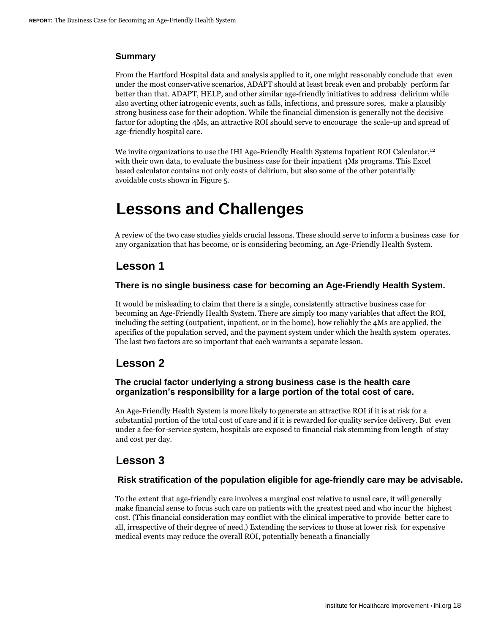### **Summary**

From the Hartford Hospital data and analysis applied to it, one might reasonably conclude that even under the most conservative scenarios, ADAPT should at least break even and probably perform far better than that. ADAPT, HELP, and other similar age-friendly initiatives to address delirium while also averting other iatrogenic events, such as falls, infections, and pressure sores, make a plausibly strong business case for their adoption. While the financial dimension is generally not the decisive factor for adopting the 4Ms, an attractive ROI should serve to encourage the scale-up and spread of age-friendly hospital care.

We invite organizations to use the IHI Age-Friendly Health Systems Inpatient ROI Calculator,<sup>12</sup> with their own data, to evaluate the business case for their inpatient 4Ms programs. This Excel based calculator contains not only costs of delirium, but also some of the other potentially avoidable costs shown in Figure 5.

# **Lessons and Challenges**

A review of the two case studies yields crucial lessons. These should serve to inform a business case for any organization that has become, or is considering becoming, an Age-Friendly Health System.

# **Lesson 1**

#### **There is no single business case for becoming an Age-Friendly Health System.**

It would be misleading to claim that there is a single, consistently attractive business case for becoming an Age-Friendly Health System. There are simply too many variables that affect the ROI, including the setting (outpatient, inpatient, or in the home), how reliably the 4Ms are applied, the specifics of the population served, and the payment system under which the health system operates. The last two factors are so important that each warrants a separate lesson.

# **Lesson 2**

## **The crucial factor underlying a strong business case is the health care organization's responsibility for a large portion of the total cost of care.**

An Age-Friendly Health System is more likely to generate an attractive ROI if it is at risk for a substantial portion of the total cost of care and if it is rewarded for quality service delivery. But even under a fee-for-service system, hospitals are exposed to financial risk stemming from length of stay and cost per day.

# **Lesson 3**

### **Risk stratification of the population eligible for age-friendly care may be advisable.**

To the extent that age-friendly care involves a marginal cost relative to usual care, it will generally make financial sense to focus such care on patients with the greatest need and who incur the highest cost. (This financial consideration may conflict with the clinical imperative to provide better care to all, irrespective of their degree of need.) Extending the services to those at lower risk for expensive medical events may reduce the overall ROI, potentially beneath a financially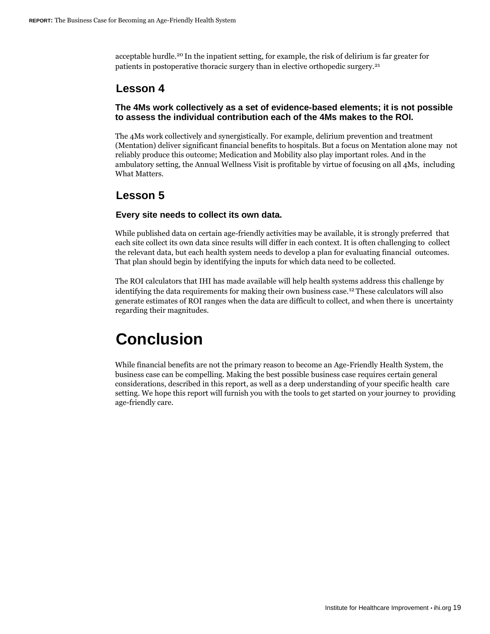acceptable hurdle.20 In the inpatient setting, for example, the risk of delirium is far greater for patients in postoperative thoracic surgery than in elective orthopedic surgery.<sup>21</sup>

# **Lesson 4**

# **The 4Ms work collectively as a set of evidence-based elements; it is not possible to assess the individual contribution each of the 4Ms makes to the ROI.**

The 4Ms work collectively and synergistically. For example, delirium prevention and treatment (Mentation) deliver significant financial benefits to hospitals. But a focus on Mentation alone may not reliably produce this outcome; Medication and Mobility also play important roles. And in the ambulatory setting, the Annual Wellness Visit is profitable by virtue of focusing on all 4Ms, including What Matters.

# **Lesson 5**

# **Every site needs to collect its own data.**

While published data on certain age-friendly activities may be available, it is strongly preferred that each site collect its own data since results will differ in each context. It is often challenging to collect the relevant data, but each health system needs to develop a plan for evaluating financial outcomes. That plan should begin by identifying the inputs for which data need to be collected.

The ROI calculators that IHI has made available will help health systems address this challenge by identifying the data requirements for making their own business case.12 These calculators will also generate estimates of ROI ranges when the data are difficult to collect, and when there is uncertainty regarding their magnitudes.

# **Conclusion**

While financial benefits are not the primary reason to become an Age-Friendly Health System, the business case can be compelling. Making the best possible business case requires certain general considerations, described in this report, as well as a deep understanding of your specific health care setting. We hope this report will furnish you with the tools to get started on your journey to providing age-friendly care.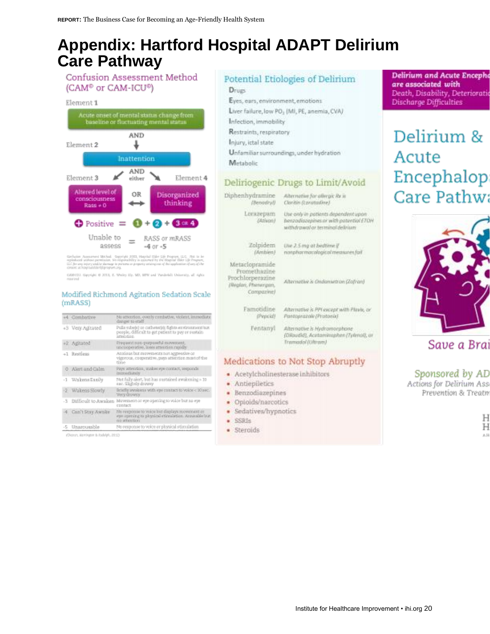# **Appendix: Hartford Hospital ADAPT Delirium Care Pathway**

# Confusion Assessment Method (CAM® or CAM-ICU®)



of Mothad. Copyright 2002, Haspital Elder Life Program, LLC. 21<br>semission, fils responsibility in assumed by the Hospital Elder Life I

CASHOL Capyright @ 2013, E. Wellty Elp. MD, SITE and Vandebill Deloraty, all rights

#### Modified Richmond Agitation Sedation Scale (mRASS)

|         | +4 Combative        | No attention, overly combative, violent, immediate<br>danger to staff                                                   |
|---------|---------------------|-------------------------------------------------------------------------------------------------------------------------|
|         | +3 Very Agitated    | Pulls tube(s) or cutheteris); fights exviranment/not<br>people, difficult to get patient to pay or sustain<br>stientign |
|         | 42 Azitated         | Frequent non-purposeful movement,<br>uncooperative, loses attention rapidly                                             |
|         | +1 Restless         | Anxious but requesters not aggressive or<br>vigorous, cooperative, pays attention most of the<br><b>DOD</b>             |
|         | Alert and Calm      | Pays attention, makes eye contact, responds<br><b>INTERVENISTIC</b>                                                     |
| $^{-1}$ | Wakens Kanily       | Not fully alert, but has sustained awakening > 10<br>are. Slightly drawny                                               |
|         | 2 Waitens Slowly    | Briefly awakens with epo contact to voice < 10 nec.<br><b>Vietra Growish</b>                                            |
| -3      | Difficult to Awaken | Movement or eye opening to voice but no eye<br>contact                                                                  |
|         | Can't Stay Awake    | No response to voice but displays movement on<br>eye opening to physical etimulation. Arousable but<br>no atteintion.   |
|         | -5 Unarousable      | No response to voice er physical stimulation                                                                            |

(Denot, Novington & Rodelph, 2012)

# Potential Etiologies of Delirium

### Drugs

- Eyes, ears, environment, emotions
- Liver failure, low PO, (MI, PE, anemia, CVA)
- Infection, immobility
- Restraints, respiratory
- Injury, ictal state

Unfamiliar surroundings, under hydration

### Metabolic

# Deliriogenic Drugs to Limit/Avoid

| Diphenhydramine<br>/BenadryU                                                            | Alternative for allergic Re is<br>Claritim (Eprotadine).                                                                   |
|-----------------------------------------------------------------------------------------|----------------------------------------------------------------------------------------------------------------------------|
| Lorazepam<br>(Athon)                                                                    | Use only in patients dependent upon<br>benzodiszepines ar.with patential ETDH<br>withdrawal or terminal delirium           |
| Zolpidem<br>(Ambaw)                                                                     | Use 2.5 mg at biobitne If<br>hat requirement la significant media non-<br>a sa mga kalawang ng pag-agaway ng mga mga mga m |
| Metaclopramide<br>Promethazine<br>Prochlorperazine<br>(Region, Phenergan,<br>Companine/ | Alternative is Ondamietron (Zofran)                                                                                        |
| Famotidine<br>(Pepcid)                                                                  | Afternative is PPI except with Playie, or<br>Pontoprazole (Protonod                                                        |
| Fentanyl                                                                                | Alternative is Hydromorphone<br>(Diloudid), Acetominaphen (Tylenol), or                                                    |

Medications to Not Stop Abruptly

Tramadol (Ohram)

- · Acetylcholinesterase inhibitors
- · Antiepiletics
- · Benzodiazepines
- · Opioids/narcotics
- · Sedatives/hypnotics
- $-$  SSRIs
- · Steroids

#### **Delirium and Acute Encepha** are associated with Death, Disability, Deterioratio **Discharge Difficulties**

# Delirium & Acute Encephalop **Care Pathwa**



Save a Brai

## Sponsored by AD Actions for Delirium Ass Prevention & Treatn

H Η  $8.9$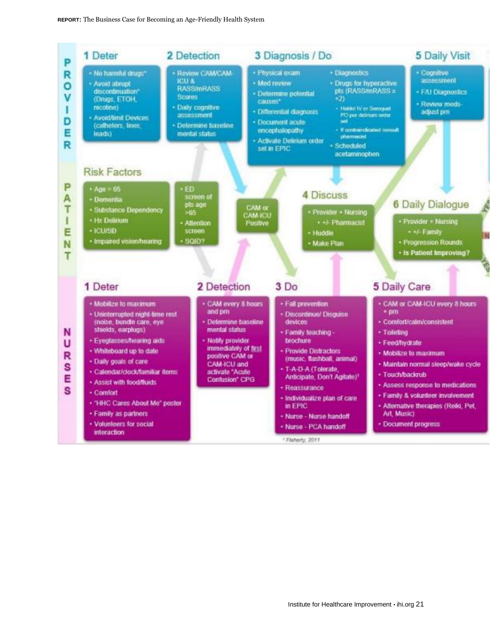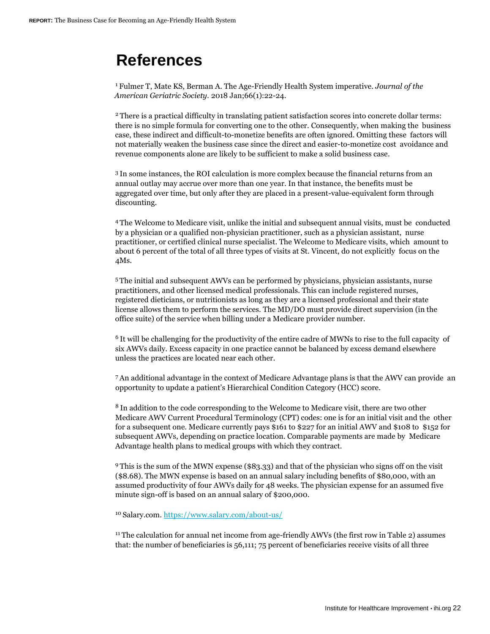# **References**

<sup>1</sup>Fulmer T, Mate KS, Berman A. The Age-Friendly Health System imperative. *Journal of the American Geriatric Society.* 2018 Jan;66(1):22-24.

<sup>2</sup>There is a practical difficulty in translating patient satisfaction scores into concrete dollar terms: there is no simple formula for converting one to the other. Consequently, when making the business case, these indirect and difficult-to-monetize benefits are often ignored. Omitting these factors will not materially weaken the business case since the direct and easier-to-monetize cost avoidance and revenue components alone are likely to be sufficient to make a solid business case.

<sup>3</sup>In some instances, the ROI calculation is more complex because the financial returns from an annual outlay may accrue over more than one year. In that instance, the benefits must be aggregated over time, but only after they are placed in a present-value-equivalent form through discounting.

<sup>4</sup>The Welcome to Medicare visit, unlike the initial and subsequent annual visits, must be conducted by a physician or a qualified non-physician practitioner, such as a physician assistant, nurse practitioner, or certified clinical nurse specialist. The Welcome to Medicare visits, which amount to about 6 percent of the total of all three types of visits at St. Vincent, do not explicitly focus on the 4Ms.

<sup>5</sup>The initial and subsequent AWVs can be performed by physicians, physician assistants, nurse practitioners, and other licensed medical professionals. This can include registered nurses, registered dieticians, or nutritionists as long as they are a licensed professional and their state license allows them to perform the services. The MD/DO must provide direct supervision (in the office suite) of the service when billing under a Medicare provider number.

<sup>6</sup> It will be challenging for the productivity of the entire cadre of MWNs to rise to the full capacity of six AWVs daily. Excess capacity in one practice cannot be balanced by excess demand elsewhere unless the practices are located near each other.

<sup>7</sup>An additional advantage in the context of Medicare Advantage plans is that the AWV can provide an opportunity to update a patient's Hierarchical Condition Category (HCC) score.

<sup>8</sup>In addition to the code corresponding to the Welcome to Medicare visit, there are two other Medicare AWV Current Procedural Terminology (CPT) codes: one is for an initial visit and the other for a subsequent one. Medicare currently pays \$161 to \$227 for an initial AWV and \$108 to \$152 for subsequent AWVs, depending on practice location. Comparable payments are made by Medicare Advantage health plans to medical groups with which they contract.

<sup>9</sup>This is the sum of the MWN expense (\$83.33) and that of the physician who signs off on the visit (\$8.68). The MWN expense is based on an annual salary including benefits of \$80,000, with an assumed productivity of four AWVs daily for 48 weeks. The physician expense for an assumed five minute sign-off is based on an annual salary of \$200,000.

<sup>10</sup>Salary.com. https://www.salary.com/about-us/

<sup>11</sup>The calculation for annual net income from age-friendly AWVs (the first row in Table 2) assumes that: the number of beneficiaries is 56,111; 75 percent of beneficiaries receive visits of all three